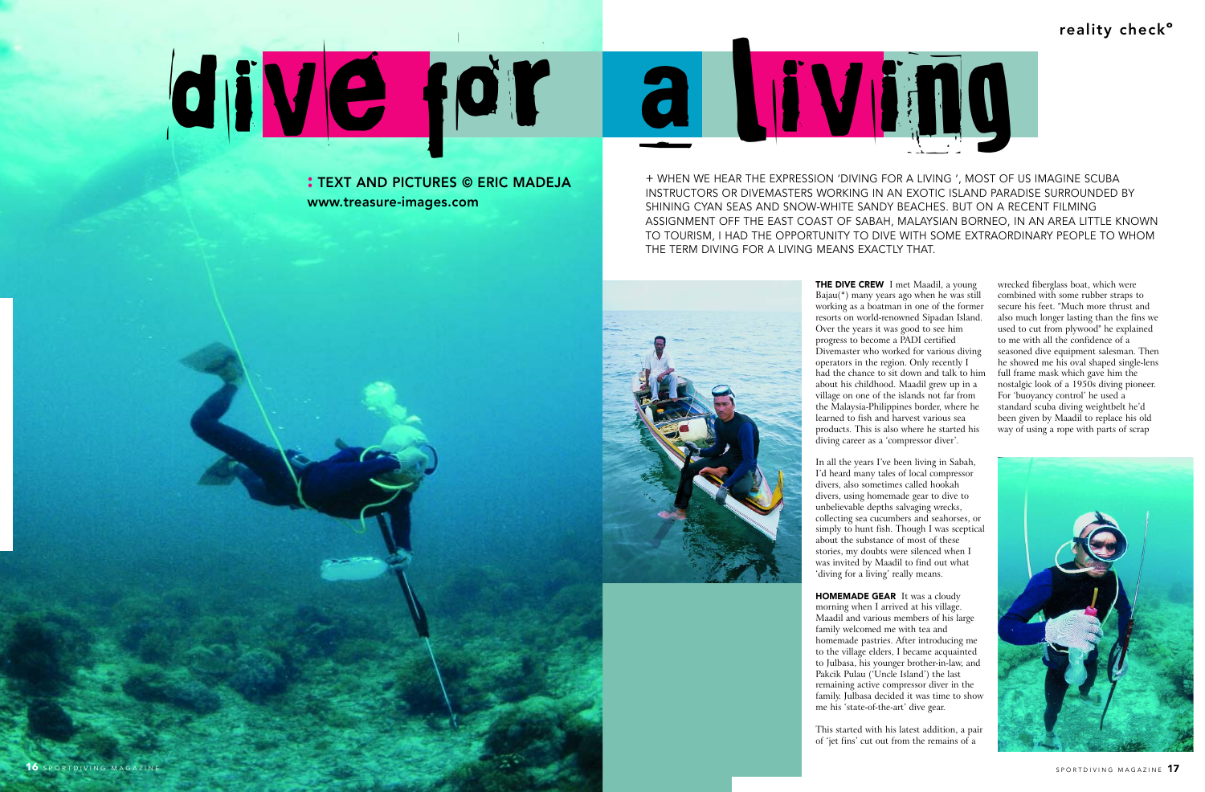

**THE DIVE CREW** I met Maadil, a young Bajau(\*) many years ago when he was still working as a boatman in one of the former resorts on world-renowned Sipadan Island. Over the years it was good to see him progress to become a PADI certified Divemaster who worked for various diving operators in the region. Only recently I had the chance to sit down and talk to him about his childhood. Maadil grew up in a village on one of the islands not far from the Malaysia-Philippines border, where he learned to fish and harvest various sea products. This is also where he started his diving career as a 'compressor diver'.

In all the years I've been living in Sabah, I'd heard many tales of local compressor divers, also sometimes called hookah divers, using homemade gear to dive to unbelievable depths salvaging wrecks, collecting sea cucumbers and seahorses, or simply to hunt fish. Though I was sceptical about the substance of most of these stories, my doubts were silenced when I was invited by Maadil to find out what 'diving for a living' really means.

**HOMEMADE GEAR** It was a cloudy morning when I arrived at his village. Maadil and various members of his large family welcomed me with tea and homemade pastries. After introducing me to the village elders, I became acquainted to Julbasa, his younger brother-in-law, and Pakcik Pulau ('Uncle Island') the last remaining active compressor diver in the family. Julbasa decided it was time to show me his 'state-of-the-art' dive gear.

This started with his latest addition, a pair of 'jet fins' cut out from the remains of a

wrecked fiberglass boat, which were combined with some rubber straps to secure his feet. "Much more thrust and also much longer lasting than the fins we used to cut from plywood" he explained to me with all the confidence of a seasoned dive equipment salesman. Then he showed me his oval shaped single-lens full frame mask which gave him the nostalgic look of a 1950s diving pioneer. For 'buoyancy control' he used a standard scuba diving weightbelt he'd been given by Maadil to replace his old way of using a rope with parts of scrap



**:** TEXT AND PICTURES © ERIC MADEJA www.treasure-images.com

+ WHEN WE HEAR THE EXPRESSION 'DIVING FOR A LIVING ', MOST OF US IMAGINE SCUBA INSTRUCTORS OR DIVEMASTERS WORKING IN AN EXOTIC ISLAND PARADISE SURROUNDED BY SHINING CYAN SEAS AND SNOW-WHITE SANDY BEACHES. BUT ON A RECENT FILMING ASSIGNMENT OFF THE EAST COAST OF SABAH, MALAYSIAN BORNEO, IN AN AREA LITTLE KNOWN TO TOURISM, I HAD THE OPPORTUNITY TO DIVE WITH SOME EXTRAORDINARY PEOPLE TO WHOM THE TERM DIVING FOR A LIVING MEANS EXACTLY THAT.



# dive for a living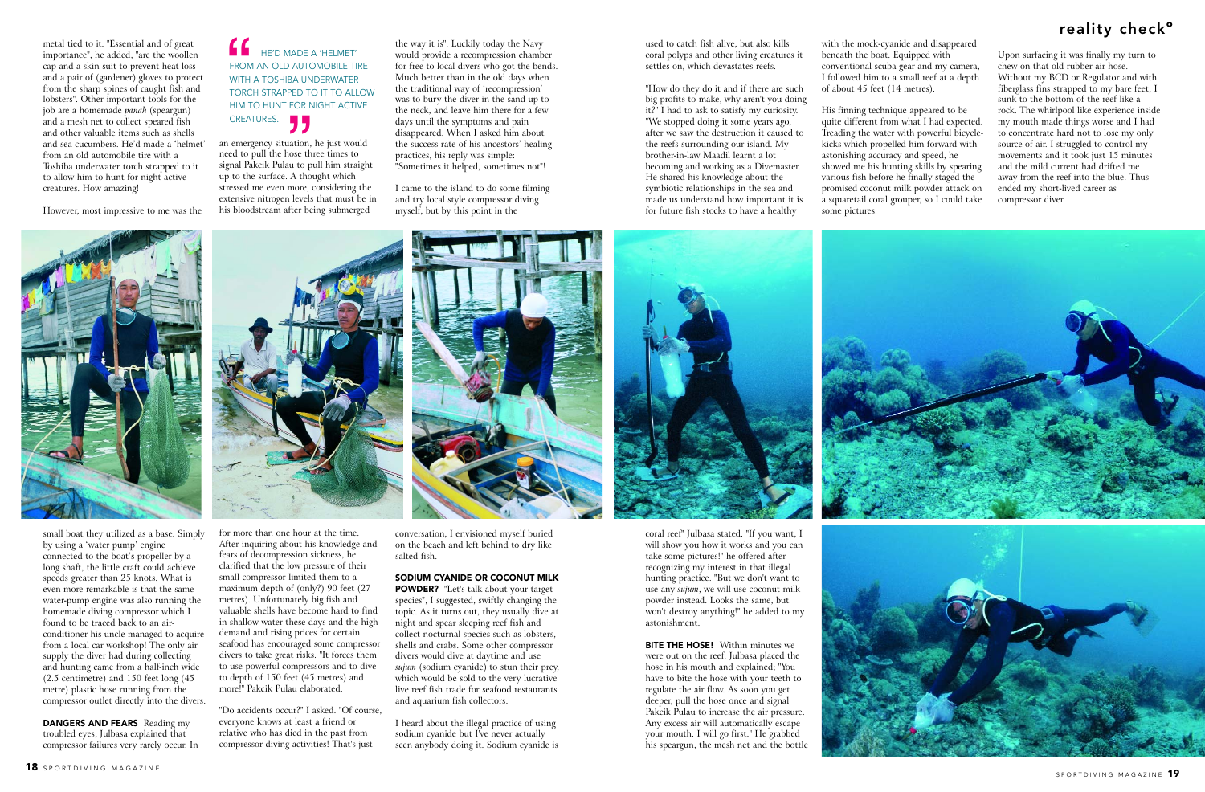# reality check**º**

an emergency situation, he just would need to pull the hose three times to signal Pakcik Pulau to pull him straight up to the surface. A thought which stressed me even more, considering the extensive nitrogen levels that must be in his bloodstream after being submerged

for more than one hour at the time. After inquiring about his knowledge and fears of decompression sickness, he clarified that the low pressure of their small compressor limited them to a maximum depth of (only?) 90 feet (27 metres). Unfortunately big fish and valuable shells have become hard to find in shallow water these days and the high demand and rising prices for certain seafood has encouraged some compressor divers to take great risks. "It forces them to use powerful compressors and to dive to depth of 150 feet (45 metres) and more!" Pakcik Pulau elaborated.

"Do accidents occur?" I asked. "Of course, everyone knows at least a friend or relative who has died in the past from compressor diving activities! That's just

**DANGERS AND FEARS** Reading my troubled eyes, Julbasa explained that compressor failures very rarely occur. In



metal tied to it. "Essential and of great importance", he added, "are the woollen cap and a skin suit to prevent heat loss and a pair of (gardener) gloves to protect from the sharp spines of caught fish and lobsters". Other important tools for the job are a homemade *panah* (speargun) and a mesh net to collect speared fish and other valuable items such as shells and sea cucumbers. He'd made a 'helmet' from an old automobile tire with a Toshiba underwater torch strapped to it to allow him to hunt for night active creatures. How amazing!

However, most impressive to me was the

small boat they utilized as a base. Simply by using a 'water pump' engine connected to the boat's propeller by a long shaft, the little craft could achieve speeds greater than 25 knots. What is even more remarkable is that the same water-pump engine was also running the homemade diving compressor which I found to be traced back to an airconditioner his uncle managed to acquire from a local car workshop! The only air supply the diver had during collecting and hunting came from a half-inch wide (2.5 centimetre) and 150 feet long (45 metre) plastic hose running from the compressor outlet directly into the divers. the way it is". Luckily today the Navy would provide a recompression chamber for free to local divers who got the bends. Much better than in the old days when the traditional way of 'recompression' was to bury the diver in the sand up to the neck, and leave him there for a few days until the symptoms and pain disappeared. When I asked him about the success rate of his ancestors' healing practices, his reply was simple: "Sometimes it helped, sometimes not"!

I came to the island to do some filming and try local style compressor diving myself, but by this point in the

conversation, I envisioned myself buried on the beach and left behind to dry like salted fish.

### HE'D MADE A 'HELMET' FROM AN OLD AUTOMOBILE TIRE WITH A TOSHIBA UNDERWATER TORCH STRAPPED TO IT TO ALLOW HIM TO HUNT FOR NIGHT ACTIVE CREATURES. FROM<br>
FROM<br>
TORC

#### **SODIUM CYANIDE OR COCONUT MILK**

**POWDER?** "Let's talk about your target species", I suggested, swiftly changing the topic. As it turns out, they usually dive at night and spear sleeping reef fish and collect nocturnal species such as lobsters, shells and crabs. Some other compressor divers would dive at daytime and use *sujum* (sodium cyanide) to stun their prey, which would be sold to the very lucrative live reef fish trade for seafood restaurants and aquarium fish collectors.

I heard about the illegal practice of using sodium cyanide but I've never actually seen anybody doing it. Sodium cyanide is



used to catch fish alive, but also kills coral polyps and other living creatures it settles on, which devastates reefs.

"How do they do it and if there are such big profits to make, why aren't you doing it?" I had to ask to satisfy my curiosity. "We stopped doing it some years ago, after we saw the destruction it caused to the reefs surrounding our island. My brother-in-law Maadil learnt a lot becoming and working as a Divemaster. He shared his knowledge about the symbiotic relationships in the sea and made us understand how important it is for future fish stocks to have a healthy

coral reef" Julbasa stated. "If you want, I will show you how it works and you can take some pictures!" he offered after recognizing my interest in that illegal hunting practice. "But we don't want to use any *sujum*, we will use coconut milk powder instead. Looks the same, but won't destroy anything!" he added to my astonishment.

**BITE THE HOSE!** Within minutes we were out on the reef. Julbasa placed the hose in his mouth and explained; "You have to bite the hose with your teeth to regulate the air flow. As soon you get deeper, pull the hose once and signal Pakcik Pulau to increase the air pressure. Any excess air will automatically escape your mouth. I will go first." He grabbed his speargun, the mesh net and the bottle



with the mock-cyanide and disappeared beneath the boat. Equipped with conventional scuba gear and my camera, I followed him to a small reef at a depth of about 45 feet (14 metres).

His finning technique appeared to be quite different from what I had expected. Treading the water with powerful bicyclekicks which propelled him forward with astonishing accuracy and speed, he showed me his hunting skills by spearing various fish before he finally staged the promised coconut milk powder attack on a squaretail coral grouper, so I could take some pictures.



Upon surfacing it was finally my turn to chew on that old rubber air hose. Without my BCD or Regulator and with fiberglass fins strapped to my bare feet, I sunk to the bottom of the reef like a rock. The whirlpool like experience inside my mouth made things worse and I had to concentrate hard not to lose my only source of air. I struggled to control my movements and it took just 15 minutes and the mild current had drifted me away from the reef into the blue. Thus ended my short-lived career as compressor diver.